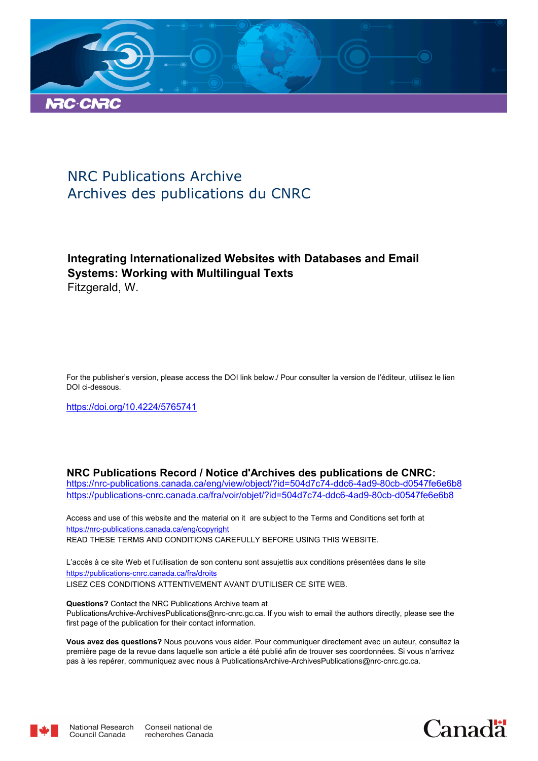

# NRC Publications Archive Archives des publications du CNRC

# **Integrating Internationalized Websites with Databases and Email Systems: Working with Multilingual Texts** Fitzgerald, W.

For the publisher's version, please access the DOI link below./ Pour consulter la version de l'éditeur, utilisez le lien DOI ci-dessous.

https://doi.org/10.4224/5765741

**NRC Publications Record / Notice d'Archives des publications de CNRC:**

https://nrc-publications.canada.ca/eng/view/object/?id=504d7c74-ddc6-4ad9-80cb-d0547fe6e6b8 https://publications-cnrc.canada.ca/fra/voir/objet/?id=504d7c74-ddc6-4ad9-80cb-d0547fe6e6b8

READ THESE TERMS AND CONDITIONS CAREFULLY BEFORE USING THIS WEBSITE. https://nrc-publications.canada.ca/eng/copyright Access and use of this website and the material on it are subject to the Terms and Conditions set forth at

https://publications-cnrc.canada.ca/fra/droits L'accès à ce site Web et l'utilisation de son contenu sont assujettis aux conditions présentées dans le site LISEZ CES CONDITIONS ATTENTIVEMENT AVANT D'UTILISER CE SITE WEB.

**Questions?** Contact the NRC Publications Archive team at PublicationsArchive-ArchivesPublications@nrc-cnrc.gc.ca. If you wish to email the authors directly, please see the first page of the publication for their contact information.

**Vous avez des questions?** Nous pouvons vous aider. Pour communiquer directement avec un auteur, consultez la première page de la revue dans laquelle son article a été publié afin de trouver ses coordonnées. Si vous n'arrivez pas à les repérer, communiquez avec nous à PublicationsArchive-ArchivesPublications@nrc-cnrc.gc.ca.



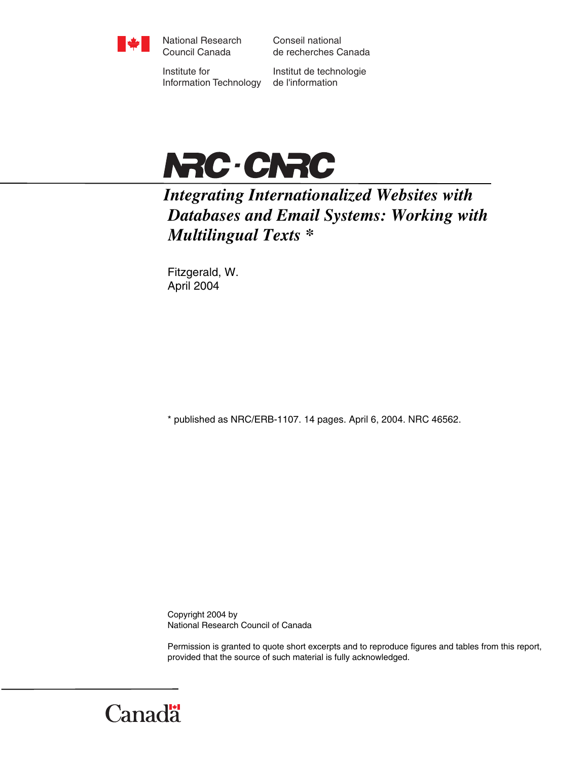

National Research Council Canada

Conseil national de recherches Canada

Institute for Information Technology

Institut de technologie de l'information



# *Integrating Internationalized Websites with Databases and Email Systems: Working with Multilingual Texts \**

Fitzgerald, W. April 2004

\* published as NRC/ERB-1107. 14 pages. April 6, 2004. NRC 46562.

Copyright 2004 by National Research Council of Canada

Permission is granted to quote short excerpts and to reproduce figures and tables from this report, provided that the source of such material is fully acknowledged.

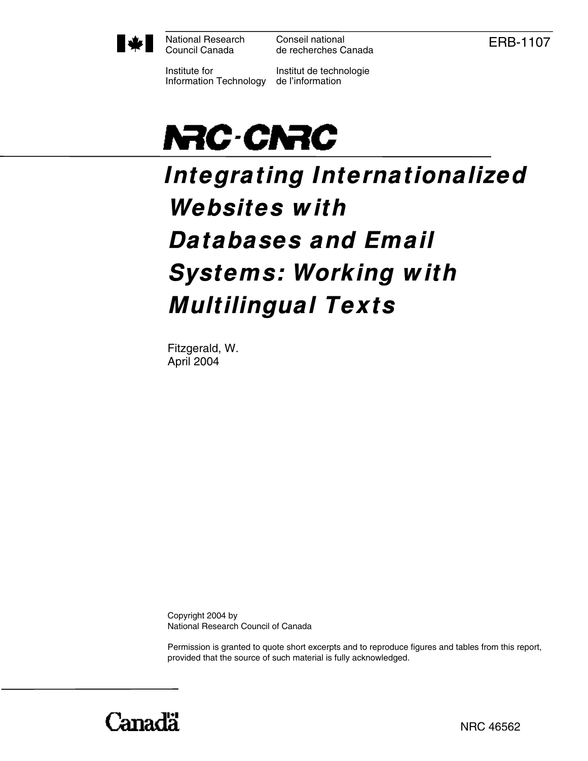

National Research Council Canada

Conseil national de recherches Canada ERB-1107

Institute for Information Technology

Institut de technologie de l'information



# **Integrating Internationalized Websites w ith Databases and Email Systems: Working w ith Multilingual Texts**

Fitzgerald, W. April 2004

Copyright 2004 by National Research Council of Canada

Permission is granted to quote short excerpts and to reproduce figures and tables from this report, provided that the source of such material is fully acknowledged.

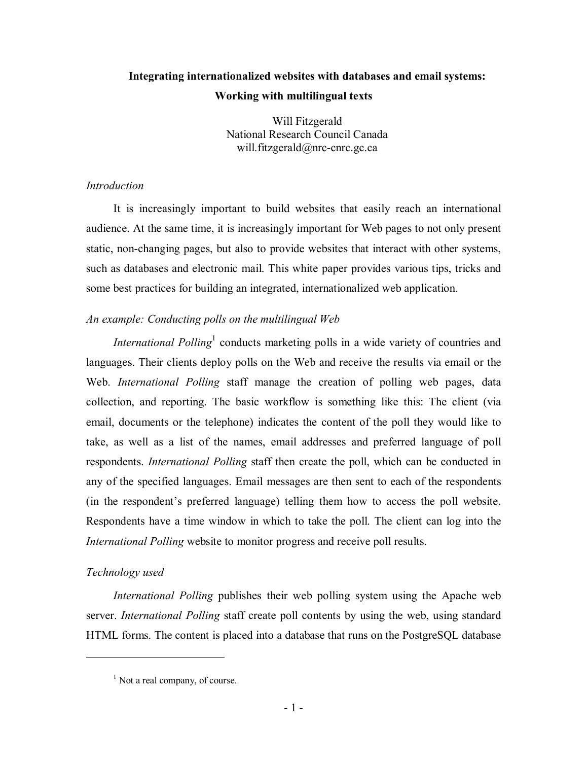# **Integrating internationalized websites with databases and email systems: Working with multilingual texts**

Will Fitzgerald National Research Council Canada will.fitzgerald@nrc-cnrc.gc.ca

#### *Introduction*

It is increasingly important to build websites that easily reach an international audience. At the same time, it is increasingly important for Web pages to not only present static, non-changing pages, but also to provide websites that interact with other systems, such as databases and electronic mail. This white paper provides various tips, tricks and some best practices for building an integrated, internationalized web application.

## *An example: Conducting polls on the multilingual Web*

*International Polling*<sup>1</sup> conducts marketing polls in a wide variety of countries and languages. Their clients deploy polls on the Web and receive the results via email or the Web. *International Polling* staff manage the creation of polling web pages, data collection, and reporting. The basic workflow is something like this: The client (via email, documents or the telephone) indicates the content of the poll they would like to take, as well as a list of the names, email addresses and preferred language of poll respondents. *International Polling* staff then create the poll, which can be conducted in any of the specified languages. Email messages are then sent to each of the respondents (in the respondent's preferred language) telling them how to access the poll website. Respondents have a time window in which to take the poll. The client can log into the *International Polling* website to monitor progress and receive poll results.

### *Technology used*

 $\overline{a}$ 

*International Polling* publishes their web polling system using the Apache web server. *International Polling* staff create poll contents by using the web, using standard HTML forms. The content is placed into a database that runs on the PostgreSQL database

<sup>&</sup>lt;sup>1</sup> Not a real company, of course.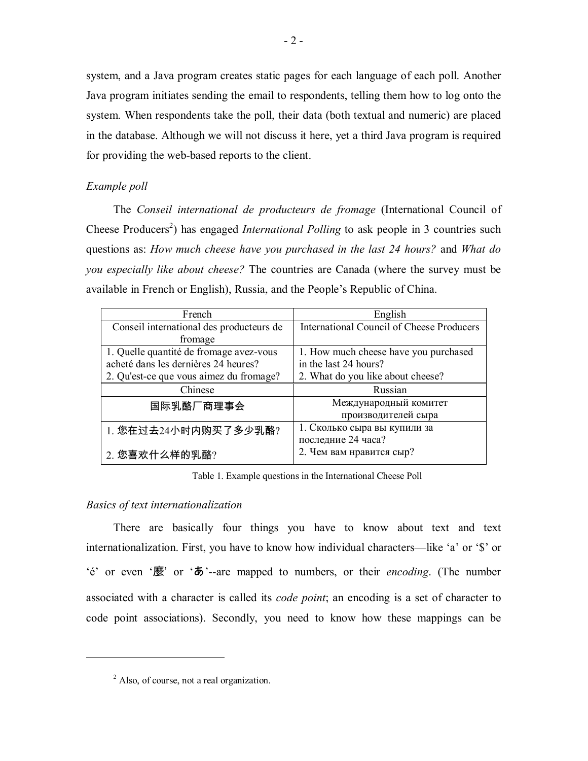system, and a Java program creates static pages for each language of each poll. Another Java program initiates sending the email to respondents, telling them how to log onto the system. When respondents take the poll, their data (both textual and numeric) are placed in the database. Although we will not discuss it here, yet a third Java program is required for providing the web-based reports to the client.

#### *Example poll*

The *Conseil international de producteurs de fromage* (International Council of Cheese Producers<sup>2</sup>) has engaged *International Polling* to ask people in 3 countries such questions as: *How much cheese have you purchased in the last 24 hours?* and *What do you especially like about cheese?* The countries are Canada (where the survey must be available in French or English), Russia, and the People's Republic of China.

| French                                   | English                                          |  |  |
|------------------------------------------|--------------------------------------------------|--|--|
| Conseil international des producteurs de | <b>International Council of Cheese Producers</b> |  |  |
| fromage                                  |                                                  |  |  |
| 1. Quelle quantité de fromage avez-vous  | 1. How much cheese have you purchased            |  |  |
| acheté dans les dernières 24 heures?     | in the last 24 hours?                            |  |  |
| 2. Qu'est-ce que vous aimez du fromage?  | 2. What do you like about cheese?                |  |  |
| Chinese                                  | Russian                                          |  |  |
| 国际乳酪厂商理事会                                | Международный комитет                            |  |  |
|                                          | производителей сыра                              |  |  |
| 1. 您在过去24小时内购买了多少乳酪?                     | 1. Сколько сыра вы купили за                     |  |  |
|                                          | последние 24 часа?                               |  |  |
| 2. 您喜欢什么样的乳酪?                            | 2. Чем вам нравится сыр?                         |  |  |

Table 1. Example questions in the International Cheese Poll

#### *Basics of text internationalization*

 $\overline{a}$ 

There are basically four things you have to know about text and text internationalization. First, you have to know how individual characters—like 'a' or '\$' or ëÈí or even ë麼' or ëあí--are mapped to numbers, or their *encoding*. (The number associated with a character is called its *code point*; an encoding is a set of character to code point associations). Secondly, you need to know how these mappings can be

<sup>&</sup>lt;sup>2</sup> Also, of course, not a real organization.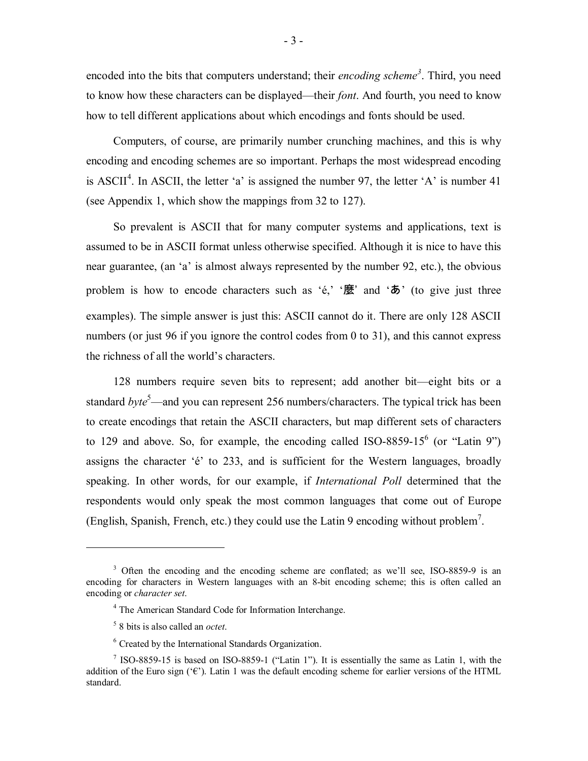encoded into the bits that computers understand; their *encoding scheme<sup>3</sup>* . Third, you need to know how these characters can be displayed—their *font*. And fourth, you need to know how to tell different applications about which encodings and fonts should be used.

Computers, of course, are primarily number crunching machines, and this is why encoding and encoding schemes are so important. Perhaps the most widespread encoding is ASCII<sup>4</sup>. In ASCII, the letter 'a' is assigned the number 97, the letter 'A' is number 41 (see Appendix 1, which show the mappings from 32 to 127).

So prevalent is ASCII that for many computer systems and applications, text is assumed to be in ASCII format unless otherwise specified. Although it is nice to have this near guarantee, (an 'a' is almost always represented by the number 92, etc.), the obvious problem is how to encode characters such as ' $\epsilon$ ,' ' $\mathbf{\bar{E}}$ ' and ' $\mathbf{\bar{D}}$ ' (to give just three examples). The simple answer is just this: ASCII cannot do it. There are only 128 ASCII numbers (or just 96 if you ignore the control codes from 0 to 31), and this cannot express the richness of all the world's characters.

128 numbers require seven bits to represent; add another bit—eight bits or a standard *byte*<sup>5</sup>—and you can represent 256 numbers/characters. The typical trick has been to create encodings that retain the ASCII characters, but map different sets of characters to 129 and above. So, for example, the encoding called ISO-8859-15 $^6$  (or "Latin 9") assigns the character 'é' to 233, and is sufficient for the Western languages, broadly speaking. In other words, for our example, if *International Poll* determined that the respondents would only speak the most common languages that come out of Europe (English, Spanish, French, etc.) they could use the Latin 9 encoding without problem<sup>7</sup>.

<sup>&</sup>lt;sup>3</sup> Often the encoding and the encoding scheme are conflated; as we'll see, ISO-8859-9 is an encoding for characters in Western languages with an 8-bit encoding scheme; this is often called an encoding or *character set*.

<sup>4</sup> The American Standard Code for Information Interchange.

<sup>5</sup> 8 bits is also called an *octet*.

<sup>6</sup> Created by the International Standards Organization.

<sup>&</sup>lt;sup>7</sup> ISO-8859-15 is based on ISO-8859-1 ("Latin 1"). It is essentially the same as Latin 1, with the addition of the Euro sign ( $\mathcal{C}$ ). Latin 1 was the default encoding scheme for earlier versions of the HTML standard.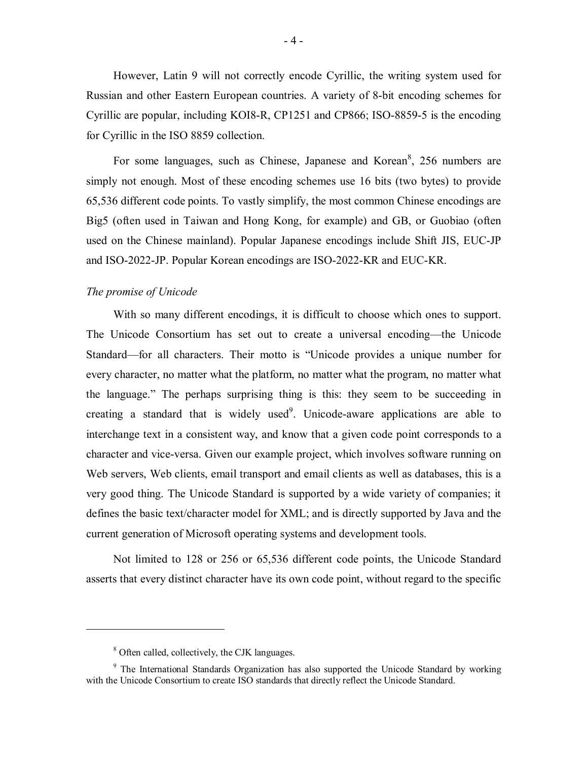However, Latin 9 will not correctly encode Cyrillic, the writing system used for Russian and other Eastern European countries. A variety of 8-bit encoding schemes for Cyrillic are popular, including KOI8-R, CP1251 and CP866; ISO-8859-5 is the encoding for Cyrillic in the ISO 8859 collection.

For some languages, such as Chinese, Japanese and Korean<sup>8</sup>, 256 numbers are simply not enough. Most of these encoding schemes use 16 bits (two bytes) to provide 65,536 different code points. To vastly simplify, the most common Chinese encodings are Big5 (often used in Taiwan and Hong Kong, for example) and GB, or Guobiao (often used on the Chinese mainland). Popular Japanese encodings include Shift JIS, EUC-JP and ISO-2022-JP. Popular Korean encodings are ISO-2022-KR and EUC-KR.

#### *The promise of Unicode*

With so many different encodings, it is difficult to choose which ones to support. The Unicode Consortium has set out to create a universal encoding—the Unicode Standard—for all characters. Their motto is "Unicode provides a unique number for every character, no matter what the platform, no matter what the program, no matter what the language." The perhaps surprising thing is this: they seem to be succeeding in creating a standard that is widely used<sup>9</sup>. Unicode-aware applications are able to interchange text in a consistent way, and know that a given code point corresponds to a character and vice-versa. Given our example project, which involves software running on Web servers, Web clients, email transport and email clients as well as databases, this is a very good thing. The Unicode Standard is supported by a wide variety of companies; it defines the basic text/character model for XML; and is directly supported by Java and the current generation of Microsoft operating systems and development tools.

Not limited to 128 or 256 or 65,536 different code points, the Unicode Standard asserts that every distinct character have its own code point, without regard to the specific

<sup>&</sup>lt;sup>8</sup> Often called, collectively, the CJK languages.

<sup>&</sup>lt;sup>9</sup> The International Standards Organization has also supported the Unicode Standard by working with the Unicode Consortium to create ISO standards that directly reflect the Unicode Standard.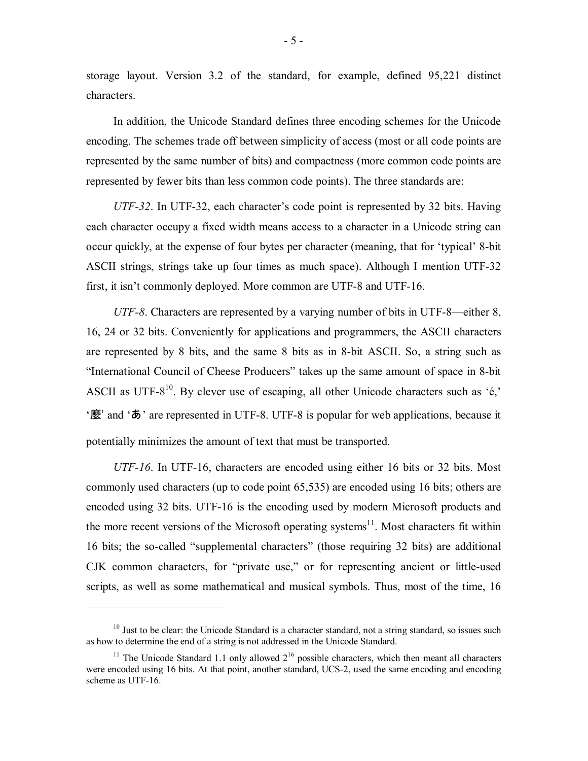storage layout. Version 3.2 of the standard, for example, defined 95,221 distinct characters.

In addition, the Unicode Standard defines three encoding schemes for the Unicode encoding. The schemes trade off between simplicity of access (most or all code points are represented by the same number of bits) and compactness (more common code points are represented by fewer bits than less common code points). The three standards are:

*UTF-32*. In UTF-32, each character's code point is represented by 32 bits. Having each character occupy a fixed width means access to a character in a Unicode string can occur quickly, at the expense of four bytes per character (meaning, that for 'typical' 8-bit ASCII strings, strings take up four times as much space). Although I mention UTF-32 first, it isn't commonly deployed. More common are UTF-8 and UTF-16.

*UTF-8*. Characters are represented by a varying number of bits in UTF-8—either 8, 16, 24 or 32 bits. Conveniently for applications and programmers, the ASCII characters are represented by 8 bits, and the same 8 bits as in 8-bit ASCII. So, a string such as "International Council of Cheese Producers" takes up the same amount of space in 8-bit ASCII as UTF- $8^{10}$ . By clever use of escaping, all other Unicode characters such as 'é,'  $\mathcal{F}$  and  $\mathcal{F}$  are represented in UTF-8. UTF-8 is popular for web applications, because it potentially minimizes the amount of text that must be transported.

*UTF-16*. In UTF-16, characters are encoded using either 16 bits or 32 bits. Most commonly used characters (up to code point 65,535) are encoded using 16 bits; others are encoded using 32 bits. UTF-16 is the encoding used by modern Microsoft products and the more recent versions of the Microsoft operating systems<sup>11</sup>. Most characters fit within 16 bits; the so-called "supplemental characters" (those requiring 32 bits) are additional CJK common characters, for "private use," or for representing ancient or little-used scripts, as well as some mathematical and musical symbols. Thus, most of the time, 16

 $10$  Just to be clear: the Unicode Standard is a character standard, not a string standard, so issues such as how to determine the end of a string is not addressed in the Unicode Standard.

<sup>&</sup>lt;sup>11</sup> The Unicode Standard 1.1 only allowed  $2^{16}$  possible characters, which then meant all characters were encoded using 16 bits. At that point, another standard, UCS-2, used the same encoding and encoding scheme as UTF-16.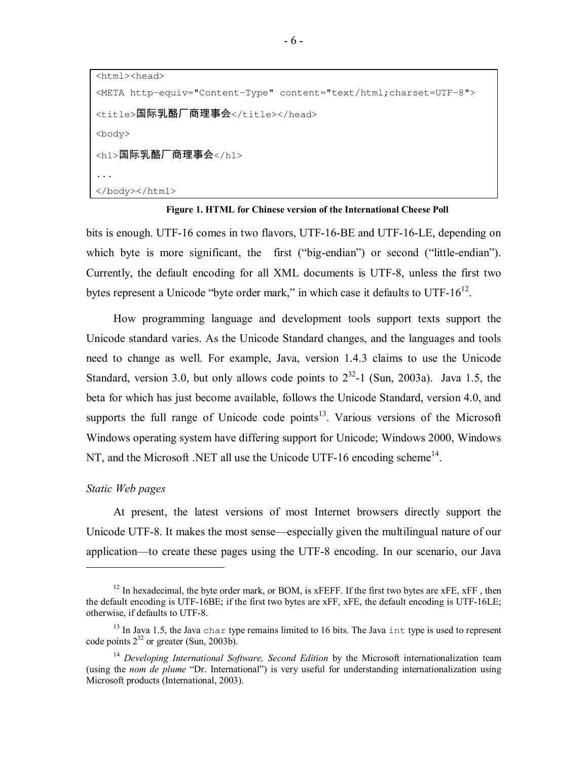<html><head>

```
<META http-equiv="Content-Type" content="text/html;charset=UTF-8"> 
<title>国际乳酪厂商理事会</title></head>
<body> 
<h1>国际乳酪厂商理事会</h1> 
... 
</body></html>
```
**Figure 1. HTML for Chinese version of the International Cheese Poll** 

bits is enough. UTF-16 comes in two flavors, UTF-16-BE and UTF-16-LE, depending on which byte is more significant, the first ( $\theta$ ig-endian<sup>?</sup>) or second ( $\theta$ little-endian<sup>?</sup>). Currently, the default encoding for all XML documents is UTF-8, unless the first two bytes represent a Unicode "byte order mark," in which case it defaults to UTF- $16^{12}$ .

How programming language and development tools support texts support the Unicode standard varies. As the Unicode Standard changes, and the languages and tools need to change as well. For example, Java, version 1.4.3 claims to use the Unicode Standard, version 3.0, but only allows code points to  $2^{32}$ -1 (Sun, 2003a). Java 1.5, the beta for which has just become available, follows the Unicode Standard, version 4.0, and supports the full range of Unicode code points $13$ . Various versions of the Microsoft Windows operating system have differing support for Unicode; Windows 2000, Windows NT, and the Microsoft .NET all use the Unicode UTF-16 encoding scheme<sup>14</sup>.

#### *Static Web pages*

 $\overline{a}$ 

At present, the latest versions of most Internet browsers directly support the Unicode UTF-8. It makes the most sense—especially given the multilingual nature of our application—to create these pages using the UTF-8 encoding. In our scenario, our Java

<sup>&</sup>lt;sup>12</sup> In hexadecimal, the byte order mark, or BOM, is xFEFF. If the first two bytes are xFE, xFF, then the default encoding is UTF-16BE; if the first two bytes are xFF, xFE, the default encoding is UTF-16LE; otherwise, if defaults to UTF-8.

 $13$  In Java 1.5, the Java char type remains limited to 16 bits. The Java int type is used to represent code points  $2^{32}$  or greater (Sun, 2003b).

<sup>&</sup>lt;sup>14</sup> Developing International Software, Second Edition by the Microsoft internationalization team (using the *nom de plume* "Dr. International") is very useful for understanding internationalization using Microsoft products (International, 2003).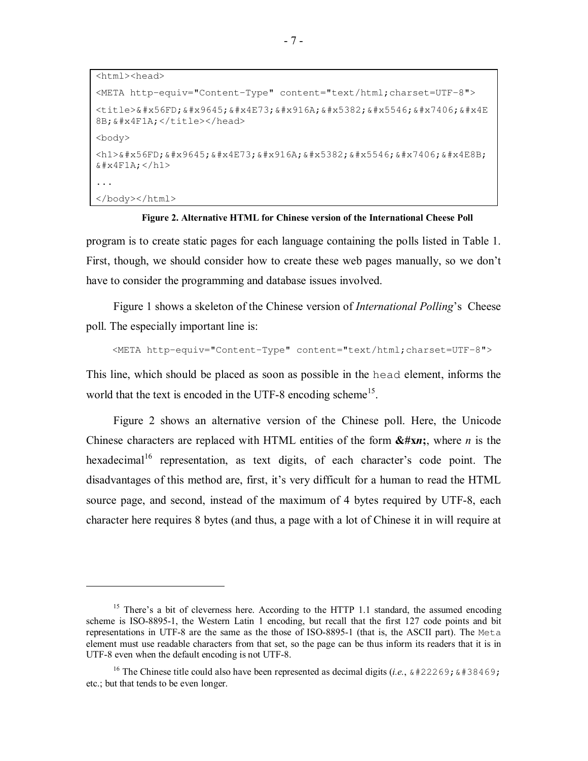<html><head> <META http-equiv="Content-Type" content="text/html;charset=UTF-8"> <title>&#x56FD; &#x9645; &#x4E73; &#x916A; &#x5382; &#x5546; &#x7406; &#x4E 8B; & #x4F1A; </title></head> <body> <h1>&#x56FD; &#x9645; &#x4E73; &#x916A; &#x5382; &#x5546; &#x7406; &#x4E8B;  $&4 \times 4F1A$ ; </h1> ... </body></html>

#### **Figure 2. Alternative HTML for Chinese version of the International Cheese Poll**

program is to create static pages for each language containing the polls listed in Table 1. First, though, we should consider how to create these web pages manually, so we don't have to consider the programming and database issues involved.

Figure 1 shows a skeleton of the Chinese version of *International Polling*ís Cheese poll. The especially important line is:

<META http-equiv="Content-Type" content="text/html;charset=UTF-8">

This line, which should be placed as soon as possible in the head element, informs the world that the text is encoded in the UTF-8 encoding scheme<sup>15</sup>.

Figure 2 shows an alternative version of the Chinese poll. Here, the Unicode Chinese characters are replaced with HTML entities of the form **&#x***n***;**, where *n* is the hexadecimal<sup>16</sup> representation, as text digits, of each character's code point. The disadvantages of this method are, first, it's very difficult for a human to read the HTML source page, and second, instead of the maximum of 4 bytes required by UTF-8, each character here requires 8 bytes (and thus, a page with a lot of Chinese it in will require at

<sup>&</sup>lt;sup>15</sup> There's a bit of cleverness here. According to the HTTP 1.1 standard, the assumed encoding scheme is ISO-8895-1, the Western Latin 1 encoding, but recall that the first 127 code points and bit representations in UTF-8 are the same as the those of ISO-8895-1 (that is, the ASCII part). The Meta element must use readable characters from that set, so the page can be thus inform its readers that it is in UTF-8 even when the default encoding is not UTF-8.

<sup>&</sup>lt;sup>16</sup> The Chinese title could also have been represented as decimal digits (*i.e.*,  $\&\#22269$ ;  $\&\#38469$ ; etc.; but that tends to be even longer.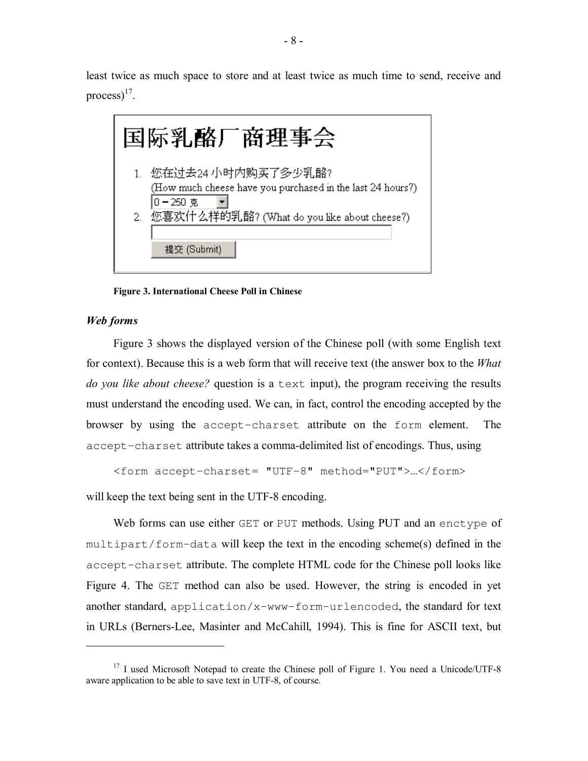least twice as much space to store and at least twice as much time to send, receive and process) $^{17}$ .



**Figure 3. International Cheese Poll in Chinese** 

#### *Web forms*

 $\overline{a}$ 

Figure 3 shows the displayed version of the Chinese poll (with some English text for context). Because this is a web form that will receive text (the answer box to the *What do you like about cheese?* question is a text input), the program receiving the results must understand the encoding used. We can, in fact, control the encoding accepted by the browser by using the accept-charset attribute on the form element. The accept-charset attribute takes a comma-delimited list of encodings. Thus, using

```
<form accept-charset= "UTF-8" method="PUT">…</form>
```
will keep the text being sent in the UTF-8 encoding.

Web forms can use either GET or PUT methods. Using PUT and an enctype of multipart/form-data will keep the text in the encoding scheme(s) defined in the accept-charset attribute. The complete HTML code for the Chinese poll looks like Figure 4. The GET method can also be used. However, the string is encoded in yet another standard, application/x-www-form-urlencoded, the standard for text in URLs (Berners-Lee, Masinter and McCahill, 1994). This is fine for ASCII text, but

<sup>&</sup>lt;sup>17</sup> I used Microsoft Notepad to create the Chinese poll of Figure 1. You need a Unicode/UTF-8 aware application to be able to save text in UTF-8, of course.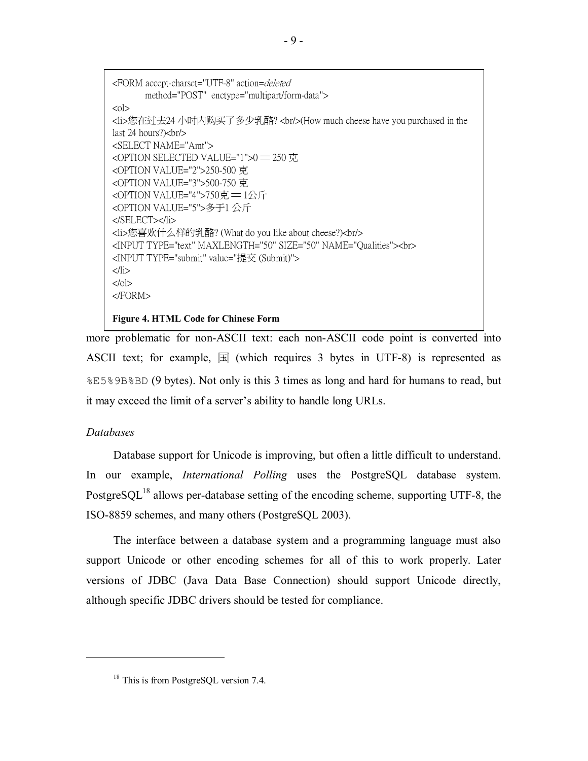<FORM accept-charset="UTF-8" action=deleted method="POST" enctype="multipart/form-data">  $<\circ$ l $>$ <li>您在过去24 小时内购买了多少乳酪? <br/>(How much cheese have you purchased in the last 24 hours?)<br/>br/> <SELECT NAME="Amt"> <OPTION SELECTED VALUE="1">0 ━ 250 克 <OPTION VALUE="2">250-500 克 <OPTION VALUE="3">500-750 克 <OPTION VALUE="4">750克 ━ 1公斤 <OPTION VALUE="5">多于1 公斤 </SELECT></li> <li>您喜欢什么样的乳酪? (What do you like about cheese?)<br/> <INPUT TYPE="text" MAXLENGTH="50" SIZE="50" NAME="Qualities"><br> <INPUT TYPE="submit" value="提交 (Submit)">  $\langle$ li> </ol> </FORM> **Figure 4. HTML Code for Chinese Form** 

more problematic for non-ASCII text: each non-ASCII code point is converted into ASCII text; for example,  $\mathbb{E}$  (which requires 3 bytes in UTF-8) is represented as %E5%9B%BD (9 bytes). Not only is this 3 times as long and hard for humans to read, but it may exceed the limit of a server's ability to handle long URLs.

#### *Databases*

 $\overline{a}$ 

Database support for Unicode is improving, but often a little difficult to understand. In our example, *International Polling* uses the PostgreSQL database system. PostgreSQL<sup>18</sup> allows per-database setting of the encoding scheme, supporting UTF-8, the ISO-8859 schemes, and many others (PostgreSQL 2003).

The interface between a database system and a programming language must also support Unicode or other encoding schemes for all of this to work properly. Later versions of JDBC (Java Data Base Connection) should support Unicode directly, although specific JDBC drivers should be tested for compliance.

<sup>&</sup>lt;sup>18</sup> This is from PostgreSQL version 7.4.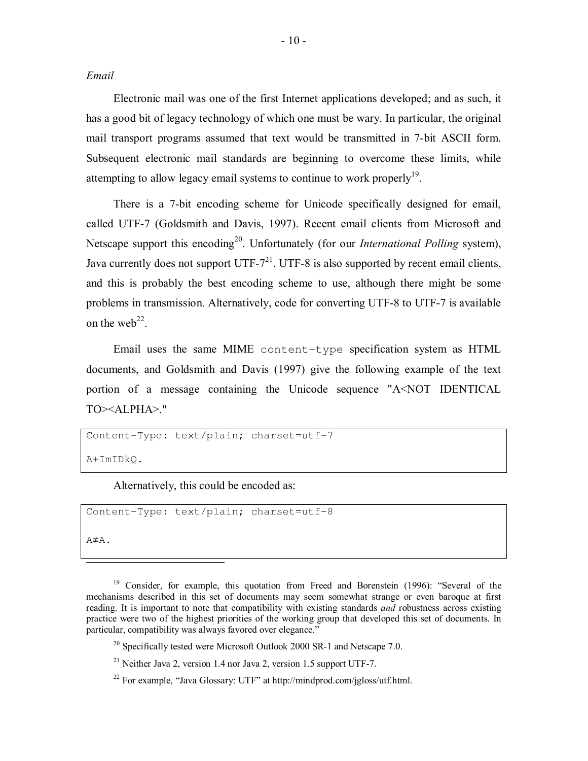*Email* 

Electronic mail was one of the first Internet applications developed; and as such, it has a good bit of legacy technology of which one must be wary. In particular, the original mail transport programs assumed that text would be transmitted in 7-bit ASCII form. Subsequent electronic mail standards are beginning to overcome these limits, while attempting to allow legacy email systems to continue to work properly $19$ .

There is a 7-bit encoding scheme for Unicode specifically designed for email, called UTF-7 (Goldsmith and Davis, 1997). Recent email clients from Microsoft and Netscape support this encoding<sup>20</sup>. Unfortunately (for our *International Polling* system), Java currently does not support UTF- $7^{21}$ . UTF-8 is also supported by recent email clients, and this is probably the best encoding scheme to use, although there might be some problems in transmission. Alternatively, code for converting UTF-8 to UTF-7 is available on the web<sup>22</sup>.

Email uses the same MIME content-type specification system as HTML documents, and Goldsmith and Davis (1997) give the following example of the text portion of a message containing the Unicode sequence "A<NOT IDENTICAL TO><ALPHA>."

```
Content-Type: text/plain; charset=utf-7
```
A+ImIDkQ.

Alternatively, this could be encoded as:

```
Content-Type: text/plain; charset=utf-8
```
A≢Α.

Ï

<sup>19</sup> Consider, for example, this quotation from Freed and Borenstein (1996): "Several of the mechanisms described in this set of documents may seem somewhat strange or even baroque at first reading. It is important to note that compatibility with existing standards *and* robustness across existing practice were two of the highest priorities of the working group that developed this set of documents. In particular, compatibility was always favored over elegance.<sup>7</sup>

 $^{20}$  Specifically tested were Microsoft Outlook 2000 SR-1 and Netscape 7.0.

<sup>21</sup> Neither Java 2, version 1.4 nor Java 2, version 1.5 support UTF-7.

<sup>22</sup> For example, "Java Glossary: UTF" at http://mindprod.com/jgloss/utf.html.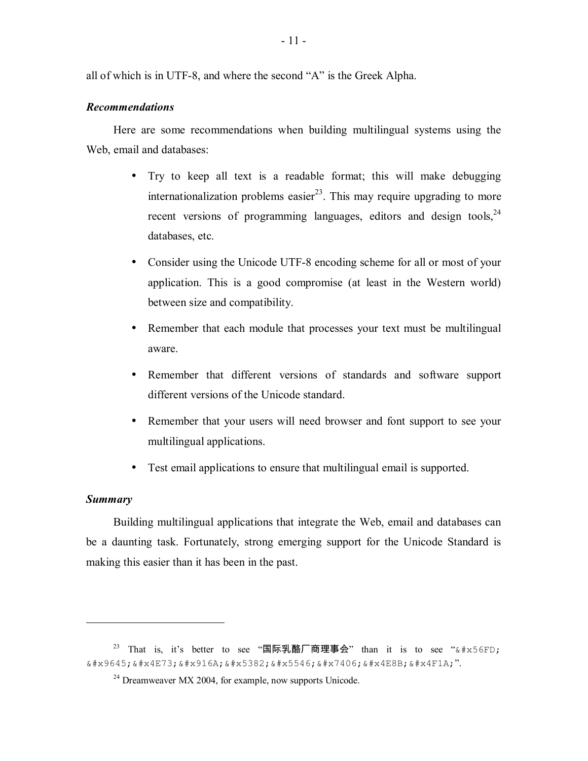all of which is in UTF-8, and where the second "A" is the Greek Alpha.

#### *Recommendations*

Here are some recommendations when building multilingual systems using the Web, email and databases:

- Try to keep all text is a readable format; this will make debugging internationalization problems easier<sup>23</sup>. This may require upgrading to more recent versions of programming languages, editors and design tools,  $24$ databases, etc.
- Consider using the Unicode UTF-8 encoding scheme for all or most of your application. This is a good compromise (at least in the Western world) between size and compatibility.
- Remember that each module that processes your text must be multilingual aware.
- Remember that different versions of standards and software support different versions of the Unicode standard.
- Remember that your users will need browser and font support to see your multilingual applications.
- Test email applications to ensure that multilingual email is supported.

#### *Summary*

 $\overline{a}$ 

Building multilingual applications that integrate the Web, email and databases can be a daunting task. Fortunately, strong emerging support for the Unicode Standard is making this easier than it has been in the past.

 $23$  That is, it's better to see "国际乳酪厂商理事会" than it is to see " $\&$ #x56FD;  $k$  + x 9 6 4 5;  $k$  + x 4 E 7 3;  $k$  + x 9 1 6 A;  $k$  + x 5 3 8 2;  $k$  + x 5 5 4 6;  $k$  + x 7 4 0 6;  $k$  + x 4 E 8 B;  $k$  + x 4 F 1 A;".

<sup>24</sup> Dreamweaver MX 2004, for example, now supports Unicode.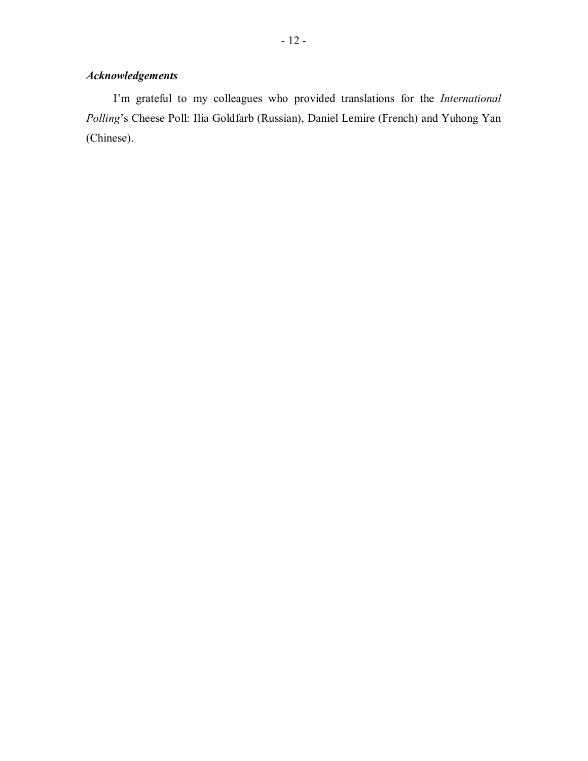## *Acknowledgements*

Iím grateful to my colleagues who provided translations for the *International Polling*ís Cheese Poll: Ilia Goldfarb (Russian), Daniel Lemire (French) and Yuhong Yan (Chinese).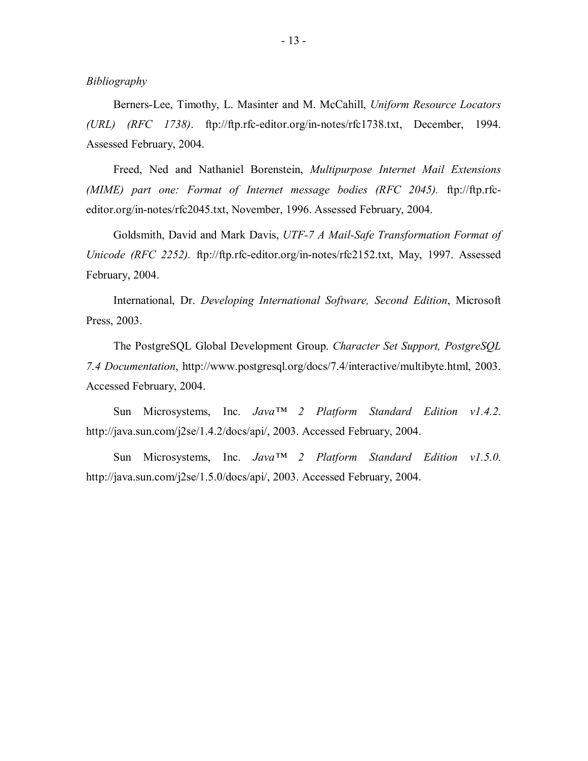*Bibliography* 

Berners-Lee, Timothy, L. Masinter and M. McCahill, *Uniform Resource Locators (URL) (RFC 1738)*. ftp://ftp.rfc-editor.org/in-notes/rfc1738.txt, December, 1994. Assessed February, 2004.

Freed, Ned and Nathaniel Borenstein, *Multipurpose Internet Mail Extensions (MIME) part one: Format of Internet message bodies (RFC 2045).* ftp://ftp.rfceditor.org/in-notes/rfc2045.txt, November, 1996. Assessed February, 2004.

Goldsmith, David and Mark Davis, *UTF-7 A Mail-Safe Transformation Format of Unicode (RFC 2252).* ftp://ftp.rfc-editor.org/in-notes/rfc2152.txt, May, 1997. Assessed February, 2004.

International, Dr. *Developing International Software, Second Edition*, Microsoft Press, 2003.

The PostgreSQL Global Development Group. *Character Set Support, PostgreSQL 7.4 Documentation*, http://www.postgresql.org/docs/7.4/interactive/multibyte.html, 2003. Accessed February, 2004.

Sun Microsystems, Inc. *Java*<sup>TM</sup> 2 Platform Standard Edition v1.4.2. http://java.sun.com/j2se/1.4.2/docs/api/, 2003. Accessed February, 2004.

Sun Microsystems, Inc. *Java*<sup>TM</sup> 2 Platform Standard Edition v1.5.0. http://java.sun.com/j2se/1.5.0/docs/api/, 2003. Accessed February, 2004.